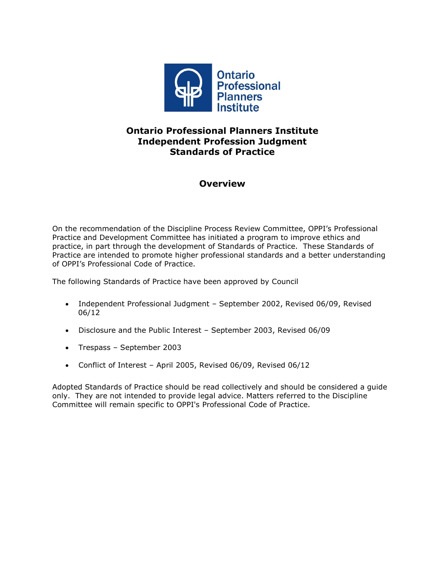

# **Ontario Professional Planners Institute Independent Profession Judgment Standards of Practice**

## **Overview**

On the recommendation of the Discipline Process Review Committee, OPPI's Professional Practice and Development Committee has initiated a program to improve ethics and practice, in part through the development of Standards of Practice. These Standards of Practice are intended to promote higher professional standards and a better understanding of OPPI's Professional Code of Practice.

The following Standards of Practice have been approved by Council

- Independent Professional Judgment September 2002, Revised 06/09, Revised 06/12
- Disclosure and the Public Interest September 2003, Revised 06/09
- Trespass September 2003
- Conflict of Interest April 2005, Revised 06/09, Revised 06/12

Adopted Standards of Practice should be read collectively and should be considered a guide only. They are not intended to provide legal advice. Matters referred to the Discipline Committee will remain specific to OPPI's Professional Code of Practice.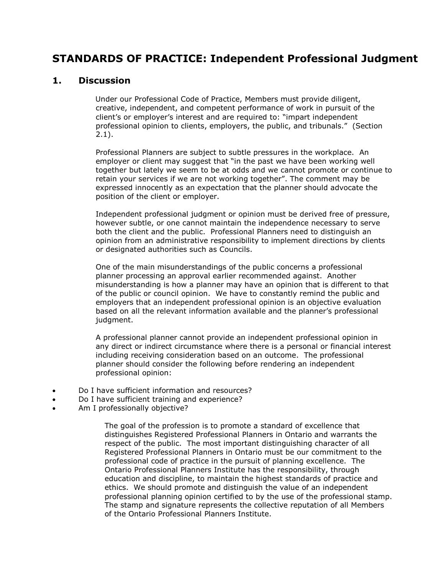# **STANDARDS OF PRACTICE: Independent Professional Judgment**

#### **1. Discussion**

Under our Professional Code of Practice, Members must provide diligent, creative, independent, and competent performance of work in pursuit of the client's or employer's interest and are required to: "impart independent professional opinion to clients, employers, the public, and tribunals." (Section 2.1).

Professional Planners are subject to subtle pressures in the workplace. An employer or client may suggest that "in the past we have been working well together but lately we seem to be at odds and we cannot promote or continue to retain your services if we are not working together". The comment may be expressed innocently as an expectation that the planner should advocate the position of the client or employer.

Independent professional judgment or opinion must be derived free of pressure, however subtle, or one cannot maintain the independence necessary to serve both the client and the public. Professional Planners need to distinguish an opinion from an administrative responsibility to implement directions by clients or designated authorities such as Councils.

One of the main misunderstandings of the public concerns a professional planner processing an approval earlier recommended against. Another misunderstanding is how a planner may have an opinion that is different to that of the public or council opinion. We have to constantly remind the public and employers that an independent professional opinion is an objective evaluation based on all the relevant information available and the planner's professional judgment.

A professional planner cannot provide an independent professional opinion in any direct or indirect circumstance where there is a personal or financial interest including receiving consideration based on an outcome. The professional planner should consider the following before rendering an independent professional opinion:

- Do I have sufficient information and resources?
- Do I have sufficient training and experience?
- Am I professionally objective?

The goal of the profession is to promote a standard of excellence that distinguishes Registered Professional Planners in Ontario and warrants the respect of the public. The most important distinguishing character of all Registered Professional Planners in Ontario must be our commitment to the professional code of practice in the pursuit of planning excellence. The Ontario Professional Planners Institute has the responsibility, through education and discipline, to maintain the highest standards of practice and ethics. We should promote and distinguish the value of an independent professional planning opinion certified to by the use of the professional stamp. The stamp and signature represents the collective reputation of all Members of the Ontario Professional Planners Institute.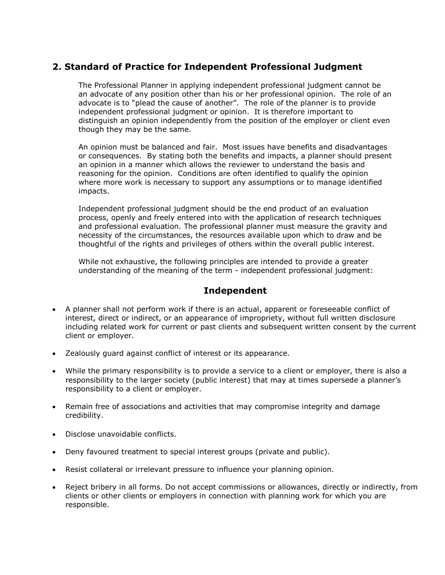# **2. Standard of Practice for Independent Professional Judgment**

The Professional Planner in applying independent professional judgment cannot be an advocate of any position other than his or her professional opinion. The role of an advocate is to "plead the cause of another". The role of the planner is to provide independent professional judgment or opinion. It is therefore important to distinguish an opinion independently from the position of the employer or client even though they may be the same.

An opinion must be balanced and fair. Most issues have benefits and disadvantages or consequences. By stating both the benefits and impacts, a planner should present an opinion in a manner which allows the reviewer to understand the basis and reasoning for the opinion. Conditions are often identified to qualify the opinion where more work is necessary to support any assumptions or to manage identified impacts.

Independent professional judgment should be the end product of an evaluation process, openly and freely entered into with the application of research techniques and professional evaluation. The professional planner must measure the gravity and necessity of the circumstances, the resources available upon which to draw and be thoughtful of the rights and privileges of others within the overall public interest.

While not exhaustive, the following principles are intended to provide a greater understanding of the meaning of the term - independent professional judgment:

## **Independent**

- A planner shall not perform work if there is an actual, apparent or foreseeable conflict of interest, direct or indirect, or an appearance of impropriety, without full written disclosure including related work for current or past clients and subsequent written consent by the current client or employer.
- Zealously guard against conflict of interest or its appearance.
- While the primary responsibility is to provide a service to a client or employer, there is also a responsibility to the larger society (public interest) that may at times supersede a planner's responsibility to a client or employer.
- Remain free of associations and activities that may compromise integrity and damage credibility.
- Disclose unavoidable conflicts.
- Deny favoured treatment to special interest groups (private and public).
- Resist collateral or irrelevant pressure to influence your planning opinion.
- Reject bribery in all forms. Do not accept commissions or allowances, directly or indirectly, from clients or other clients or employers in connection with planning work for which you are responsible.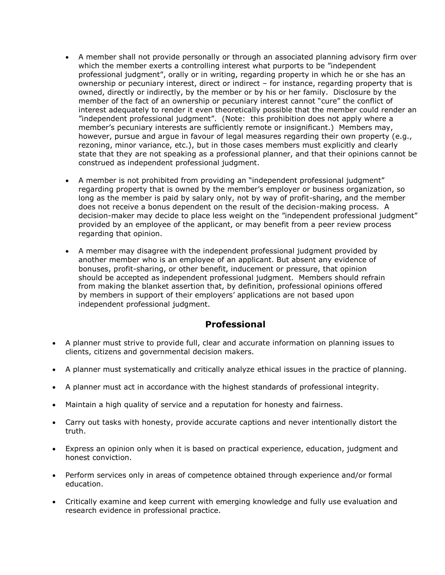- A member shall not provide personally or through an associated planning advisory firm over which the member exerts a controlling interest what purports to be "independent professional judgment", orally or in writing, regarding property in which he or she has an ownership or pecuniary interest, direct or indirect – for instance, regarding property that is owned, directly or indirectly, by the member or by his or her family. Disclosure by the member of the fact of an ownership or pecuniary interest cannot "cure" the conflict of interest adequately to render it even theoretically possible that the member could render an "independent professional judgment". (Note: this prohibition does not apply where a member's pecuniary interests are sufficiently remote or insignificant.) Members may, however, pursue and argue in favour of legal measures regarding their own property (e.g., rezoning, minor variance, etc.), but in those cases members must explicitly and clearly state that they are not speaking as a professional planner, and that their opinions cannot be construed as independent professional judgment.
- A member is not prohibited from providing an "independent professional judgment" regarding property that is owned by the member's employer or business organization, so long as the member is paid by salary only, not by way of profit-sharing, and the member does not receive a bonus dependent on the result of the decision-making process. A decision-maker may decide to place less weight on the "independent professional judgment" provided by an employee of the applicant, or may benefit from a peer review process regarding that opinion.
- A member may disagree with the independent professional judgment provided by another member who is an employee of an applicant. But absent any evidence of bonuses, profit-sharing, or other benefit, inducement or pressure, that opinion should be accepted as independent professional judgment. Members should refrain from making the blanket assertion that, by definition, professional opinions offered by members in support of their employers' applications are not based upon independent professional judgment.

# **Professional**

- A planner must strive to provide full, clear and accurate information on planning issues to clients, citizens and governmental decision makers.
- A planner must systematically and critically analyze ethical issues in the practice of planning.
- A planner must act in accordance with the highest standards of professional integrity.
- Maintain a high quality of service and a reputation for honesty and fairness.
- Carry out tasks with honesty, provide accurate captions and never intentionally distort the truth.
- Express an opinion only when it is based on practical experience, education, judgment and honest conviction.
- Perform services only in areas of competence obtained through experience and/or formal education.
- Critically examine and keep current with emerging knowledge and fully use evaluation and research evidence in professional practice.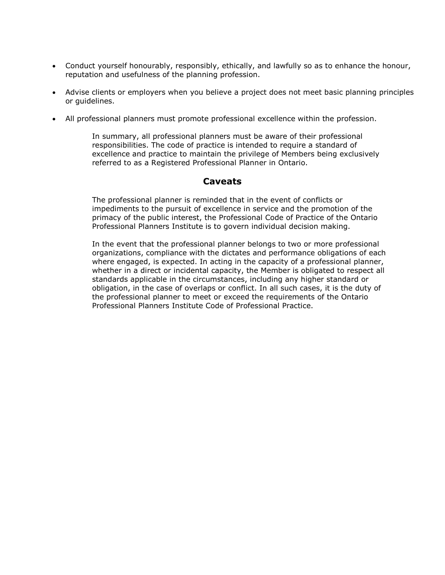- Conduct yourself honourably, responsibly, ethically, and lawfully so as to enhance the honour, reputation and usefulness of the planning profession.
- Advise clients or employers when you believe a project does not meet basic planning principles or guidelines.
- All professional planners must promote professional excellence within the profession.

In summary, all professional planners must be aware of their professional responsibilities. The code of practice is intended to require a standard of excellence and practice to maintain the privilege of Members being exclusively referred to as a Registered Professional Planner in Ontario.

### **Caveats**

The professional planner is reminded that in the event of conflicts or impediments to the pursuit of excellence in service and the promotion of the primacy of the public interest, the Professional Code of Practice of the Ontario Professional Planners Institute is to govern individual decision making.

In the event that the professional planner belongs to two or more professional organizations, compliance with the dictates and performance obligations of each where engaged, is expected. In acting in the capacity of a professional planner, whether in a direct or incidental capacity, the Member is obligated to respect all standards applicable in the circumstances, including any higher standard or obligation, in the case of overlaps or conflict. In all such cases, it is the duty of the professional planner to meet or exceed the requirements of the Ontario Professional Planners Institute Code of Professional Practice.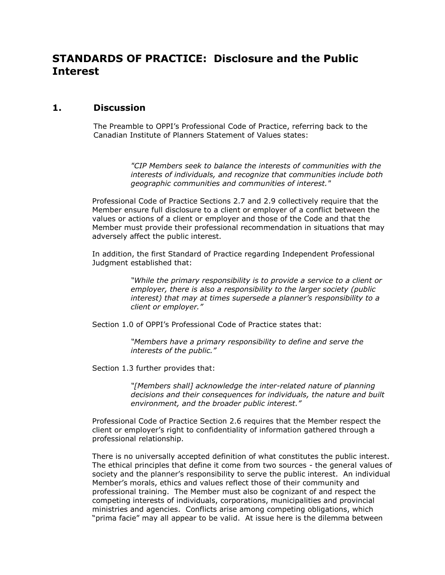# **STANDARDS OF PRACTICE: Disclosure and the Public Interest**

### **1. Discussion**

The Preamble to OPPI's Professional Code of Practice, referring back to the Canadian Institute of Planners Statement of Values states:

> *"CIP Members seek to balance the interests of communities with the interests of individuals, and recognize that communities include both geographic communities and communities of interest."*

Professional Code of Practice Sections 2.7 and 2.9 collectively require that the Member ensure full disclosure to a client or employer of a conflict between the values or actions of a client or employer and those of the Code and that the Member must provide their professional recommendation in situations that may adversely affect the public interest.

In addition, the first Standard of Practice regarding Independent Professional Judgment established that:

> *"While the primary responsibility is to provide a service to a client or employer, there is also a responsibility to the larger society (public interest) that may at times supersede a planner's responsibility to a client or employer."*

Section 1.0 of OPPI's Professional Code of Practice states that:

*"Members have a primary responsibility to define and serve the interests of the public."*

Section 1.3 further provides that:

*"[Members shall] acknowledge the inter-related nature of planning decisions and their consequences for individuals, the nature and built environment, and the broader public interest."*

Professional Code of Practice Section 2.6 requires that the Member respect the client or employer's right to confidentiality of information gathered through a professional relationship.

There is no universally accepted definition of what constitutes the public interest. The ethical principles that define it come from two sources - the general values of society and the planner's responsibility to serve the public interest. An individual Member's morals, ethics and values reflect those of their community and professional training. The Member must also be cognizant of and respect the competing interests of individuals, corporations, municipalities and provincial ministries and agencies. Conflicts arise among competing obligations, which "prima facie" may all appear to be valid. At issue here is the dilemma between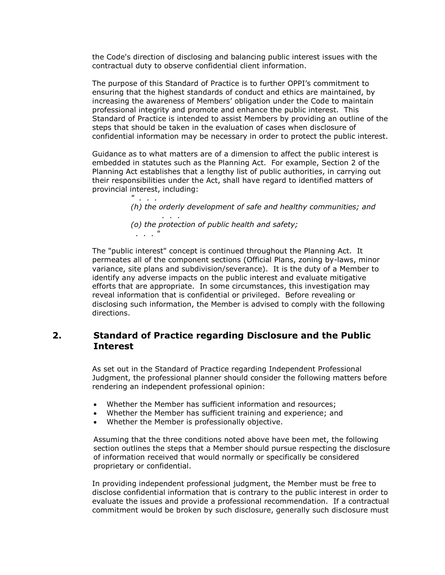the Code's direction of disclosing and balancing public interest issues with the contractual duty to observe confidential client information.

The purpose of this Standard of Practice is to further OPPI's commitment to ensuring that the highest standards of conduct and ethics are maintained, by increasing the awareness of Members' obligation under the Code to maintain professional integrity and promote and enhance the public interest. This Standard of Practice is intended to assist Members by providing an outline of the steps that should be taken in the evaluation of cases when disclosure of confidential information may be necessary in order to protect the public interest.

Guidance as to what matters are of a dimension to affect the public interest is embedded in statutes such as the Planning Act. For example, Section 2 of the Planning Act establishes that a lengthy list of public authorities, in carrying out their responsibilities under the Act, shall have regard to identified matters of provincial interest, including:

*" . . . (h) the orderly development of safe and healthy communities; and . . . (o) the protection of public health and safety; . . . "*

The "public interest" concept is continued throughout the Planning Act. It permeates all of the component sections (Official Plans, zoning by-laws, minor variance, site plans and subdivision/severance). It is the duty of a Member to identify any adverse impacts on the public interest and evaluate mitigative efforts that are appropriate. In some circumstances, this investigation may reveal information that is confidential or privileged. Before revealing or disclosing such information, the Member is advised to comply with the following directions.

### **2. Standard of Practice regarding Disclosure and the Public Interest**

As set out in the Standard of Practice regarding Independent Professional Judgment, the professional planner should consider the following matters before rendering an independent professional opinion:

- Whether the Member has sufficient information and resources;
- Whether the Member has sufficient training and experience; and
- Whether the Member is professionally objective.

Assuming that the three conditions noted above have been met, the following section outlines the steps that a Member should pursue respecting the disclosure of information received that would normally or specifically be considered proprietary or confidential.

In providing independent professional judgment, the Member must be free to disclose confidential information that is contrary to the public interest in order to evaluate the issues and provide a professional recommendation. If a contractual commitment would be broken by such disclosure, generally such disclosure must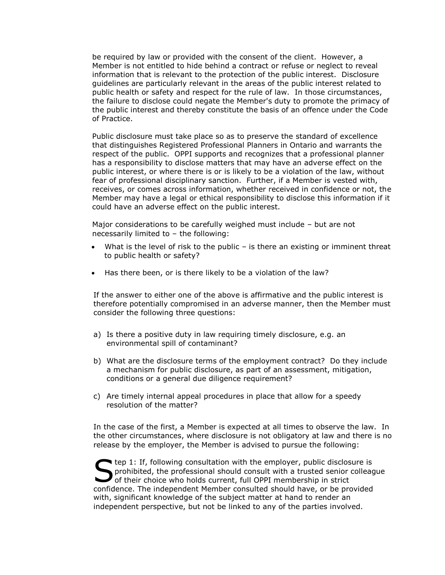be required by law or provided with the consent of the client. However, a Member is not entitled to hide behind a contract or refuse or neglect to reveal information that is relevant to the protection of the public interest. Disclosure guidelines are particularly relevant in the areas of the public interest related to public health or safety and respect for the rule of law. In those circumstances, the failure to disclose could negate the Member's duty to promote the primacy of the public interest and thereby constitute the basis of an offence under the Code of Practice.

Public disclosure must take place so as to preserve the standard of excellence that distinguishes Registered Professional Planners in Ontario and warrants the respect of the public. OPPI supports and recognizes that a professional planner has a responsibility to disclose matters that may have an adverse effect on the public interest, or where there is or is likely to be a violation of the law, without fear of professional disciplinary sanction. Further, if a Member is vested with, receives, or comes across information, whether received in confidence or not, the Member may have a legal or ethical responsibility to disclose this information if it could have an adverse effect on the public interest.

Major considerations to be carefully weighed must include – but are not necessarily limited to – the following:

- What is the level of risk to the public is there an existing or imminent threat to public health or safety?
- Has there been, or is there likely to be a violation of the law?

If the answer to either one of the above is affirmative and the public interest is therefore potentially compromised in an adverse manner, then the Member must consider the following three questions:

- a) Is there a positive duty in law requiring timely disclosure, e.g. an environmental spill of contaminant?
- b) What are the disclosure terms of the employment contract? Do they include a mechanism for public disclosure, as part of an assessment, mitigation, conditions or a general due diligence requirement?
- c) Are timely internal appeal procedures in place that allow for a speedy resolution of the matter?

In the case of the first, a Member is expected at all times to observe the law. In the other circumstances, where disclosure is not obligatory at law and there is no release by the employer, the Member is advised to pursue the following:

**the 1:** If, following consultation with the employer, public disclosure is prohibited, the professional should consult with a trusted senior colleague The state of their choice who holds current, full OPPI membership in strict of their choice who holds current, full OPPI membership in strict confidence. The independent Member consulted should have, or be provided with, significant knowledge of the subject matter at hand to render an independent perspective, but not be linked to any of the parties involved.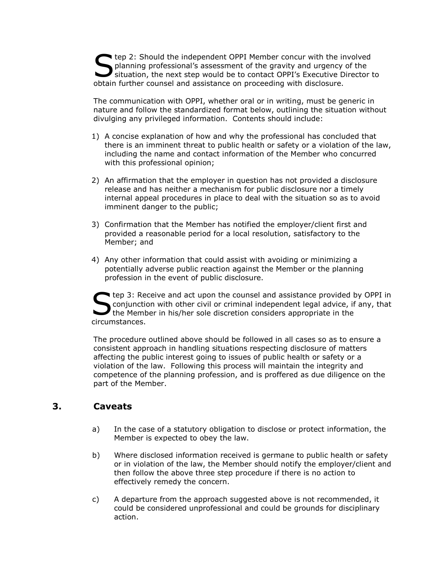The 2: Should the independent OPPI Member concur with the involved<br>planning professional's assessment of the gravity and urgency of the<br>situation, the next step would be to contact OPPI's Executive Director t planning professional's assessment of the gravity and urgency of the situation, the next step would be to contact OPPI's Executive Director to obtain further counsel and assistance on proceeding with disclosure.

The communication with OPPI, whether oral or in writing, must be generic in nature and follow the standardized format below, outlining the situation without divulging any privileged information. Contents should include:

- 1) A concise explanation of how and why the professional has concluded that there is an imminent threat to public health or safety or a violation of the law, including the name and contact information of the Member who concurred with this professional opinion;
- 2) An affirmation that the employer in question has not provided a disclosure release and has neither a mechanism for public disclosure nor a timely internal appeal procedures in place to deal with the situation so as to avoid imminent danger to the public;
- 3) Confirmation that the Member has notified the employer/client first and provided a reasonable period for a local resolution, satisfactory to the Member; and
- 4) Any other information that could assist with avoiding or minimizing a potentially adverse public reaction against the Member or the planning profession in the event of public disclosure.

tep 3: Receive and act upon the counsel and assistance provided by OPPI in conjunction with other civil or criminal independent legal advice, if any, that the Member in his/her sole discretion considers appropriate in the circumstances. S

The procedure outlined above should be followed in all cases so as to ensure a consistent approach in handling situations respecting disclosure of matters affecting the public interest going to issues of public health or safety or a violation of the law. Following this process will maintain the integrity and competence of the planning profession, and is proffered as due diligence on the part of the Member.

# **3. Caveats**

- a) In the case of a statutory obligation to disclose or protect information, the Member is expected to obey the law.
- b) Where disclosed information received is germane to public health or safety or in violation of the law, the Member should notify the employer/client and then follow the above three step procedure if there is no action to effectively remedy the concern.
- c) A departure from the approach suggested above is not recommended, it could be considered unprofessional and could be grounds for disciplinary action.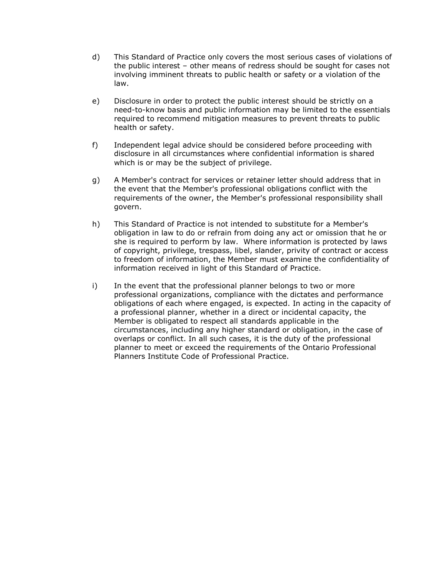- d) This Standard of Practice only covers the most serious cases of violations of the public interest – other means of redress should be sought for cases not involving imminent threats to public health or safety or a violation of the law.
- e) Disclosure in order to protect the public interest should be strictly on a need-to-know basis and public information may be limited to the essentials required to recommend mitigation measures to prevent threats to public health or safety.
- f) Independent legal advice should be considered before proceeding with disclosure in all circumstances where confidential information is shared which is or may be the subject of privilege.
- g) A Member's contract for services or retainer letter should address that in the event that the Member's professional obligations conflict with the requirements of the owner, the Member's professional responsibility shall govern.
- h) This Standard of Practice is not intended to substitute for a Member's obligation in law to do or refrain from doing any act or omission that he or she is required to perform by law. Where information is protected by laws of copyright, privilege, trespass, libel, slander, privity of contract or access to freedom of information, the Member must examine the confidentiality of information received in light of this Standard of Practice.
- i) In the event that the professional planner belongs to two or more professional organizations, compliance with the dictates and performance obligations of each where engaged, is expected. In acting in the capacity of a professional planner, whether in a direct or incidental capacity, the Member is obligated to respect all standards applicable in the circumstances, including any higher standard or obligation, in the case of overlaps or conflict. In all such cases, it is the duty of the professional planner to meet or exceed the requirements of the Ontario Professional Planners Institute Code of Professional Practice.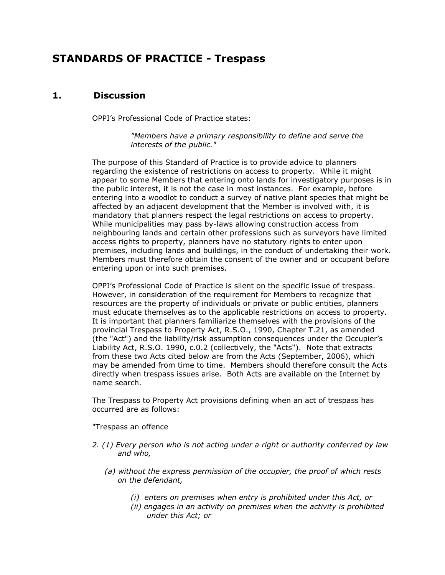# **STANDARDS OF PRACTICE - Trespass**

## **1. Discussion**

OPPI's Professional Code of Practice states:

*"Members have a primary responsibility to define and serve the interests of the public."* 

The purpose of this Standard of Practice is to provide advice to planners regarding the existence of restrictions on access to property. While it might appear to some Members that entering onto lands for investigatory purposes is in the public interest, it is not the case in most instances. For example, before entering into a woodlot to conduct a survey of native plant species that might be affected by an adjacent development that the Member is involved with, it is mandatory that planners respect the legal restrictions on access to property. While municipalities may pass by-laws allowing construction access from neighbouring lands and certain other professions such as surveyors have limited access rights to property, planners have no statutory rights to enter upon premises, including lands and buildings, in the conduct of undertaking their work. Members must therefore obtain the consent of the owner and or occupant before entering upon or into such premises.

OPPI's Professional Code of Practice is silent on the specific issue of trespass. However, in consideration of the requirement for Members to recognize that resources are the property of individuals or private or public entities, planners must educate themselves as to the applicable restrictions on access to property. It is important that planners familiarize themselves with the provisions of the provincial Trespass to Property Act, R.S.O., 1990, Chapter T.21, as amended (the "Act") and the liability/risk assumption consequences under the Occupier's Liability Act, R.S.O. 1990, c.0.2 (collectively, the "Acts"). Note that extracts from these two Acts cited below are from the Acts (September, 2006), which may be amended from time to time. Members should therefore consult the Acts directly when trespass issues arise. Both Acts are available on the Internet by name search.

The Trespass to Property Act provisions defining when an act of trespass has occurred are as follows:

"Trespass an offence

- *2. (1) Every person who is not acting under a right or authority conferred by law and who,*
	- *(a) without the express permission of the occupier, the proof of which rests on the defendant,*
		- *(i) enters on premises when entry is prohibited under this Act, or*
		- *(ii) engages in an activity on premises when the activity is prohibited under this Act; or*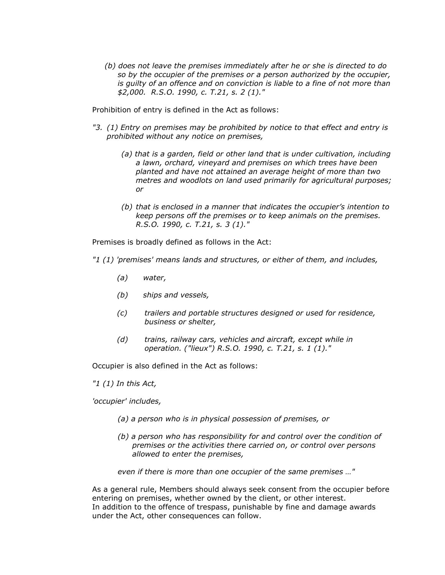*(b) does not leave the premises immediately after he or she is directed to do so by the occupier of the premises or a person authorized by the occupier, is guilty of an offence and on conviction is liable to a fine of not more than \$2,000. R.S.O. 1990, c. T.21, s. 2 (1)."*

Prohibition of entry is defined in the Act as follows:

- *"3. (1) Entry on premises may be prohibited by notice to that effect and entry is prohibited without any notice on premises,*
	- *(a) that is a garden, field or other land that is under cultivation, including a lawn, orchard, vineyard and premises on which trees have been planted and have not attained an average height of more than two metres and woodlots on land used primarily for agricultural purposes; or*
	- *(b) that is enclosed in a manner that indicates the occupier's intention to keep persons off the premises or to keep animals on the premises. R.S.O. 1990, c. T.21, s. 3 (1)."*

Premises is broadly defined as follows in the Act:

*"1 (1) 'premises' means lands and structures, or either of them, and includes,*

- *(a) water,*
- *(b) ships and vessels,*
- *(c) trailers and portable structures designed or used for residence, business or shelter,*
- *(d) trains, railway cars, vehicles and aircraft, except while in operation. ("lieux") R.S.O. 1990, c. T.21, s. 1 (1)."*

Occupier is also defined in the Act as follows:

*"1 (1) In this Act,* 

*'occupier' includes,*

- *(a) a person who is in physical possession of premises, or*
- *(b) a person who has responsibility for and control over the condition of premises or the activities there carried on, or control over persons allowed to enter the premises,*

*even if there is more than one occupier of the same premises …"*

As a general rule, Members should always seek consent from the occupier before entering on premises, whether owned by the client, or other interest. In addition to the offence of trespass, punishable by fine and damage awards under the Act, other consequences can follow.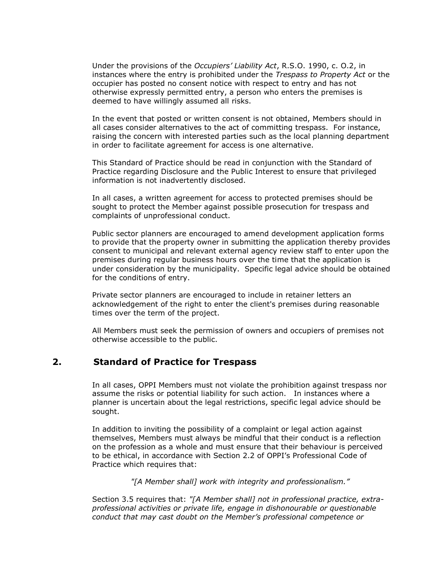Under the provisions of the *Occupiers' Liability Act*, R.S.O. 1990, c. O.2, in instances where the entry is prohibited under the *Trespass to Property Act* or the occupier has posted no consent notice with respect to entry and has not otherwise expressly permitted entry, a person who enters the premises is deemed to have willingly assumed all risks.

In the event that posted or written consent is not obtained, Members should in all cases consider alternatives to the act of committing trespass. For instance, raising the concern with interested parties such as the local planning department in order to facilitate agreement for access is one alternative.

This Standard of Practice should be read in conjunction with the Standard of Practice regarding Disclosure and the Public Interest to ensure that privileged information is not inadvertently disclosed.

In all cases, a written agreement for access to protected premises should be sought to protect the Member against possible prosecution for trespass and complaints of unprofessional conduct.

Public sector planners are encouraged to amend development application forms to provide that the property owner in submitting the application thereby provides consent to municipal and relevant external agency review staff to enter upon the premises during regular business hours over the time that the application is under consideration by the municipality. Specific legal advice should be obtained for the conditions of entry.

Private sector planners are encouraged to include in retainer letters an acknowledgement of the right to enter the client's premises during reasonable times over the term of the project.

All Members must seek the permission of owners and occupiers of premises not otherwise accessible to the public.

### **2. Standard of Practice for Trespass**

In all cases, OPPI Members must not violate the prohibition against trespass nor assume the risks or potential liability for such action. In instances where a planner is uncertain about the legal restrictions, specific legal advice should be sought.

In addition to inviting the possibility of a complaint or legal action against themselves, Members must always be mindful that their conduct is a reflection on the profession as a whole and must ensure that their behaviour is perceived to be ethical, in accordance with Section 2.2 of OPPI's Professional Code of Practice which requires that:

*"[A Member shall] work with integrity and professionalism."*

Section 3.5 requires that: *"[A Member shall] not in professional practice, extraprofessional activities or private life, engage in dishonourable or questionable conduct that may cast doubt on the Member's professional competence or*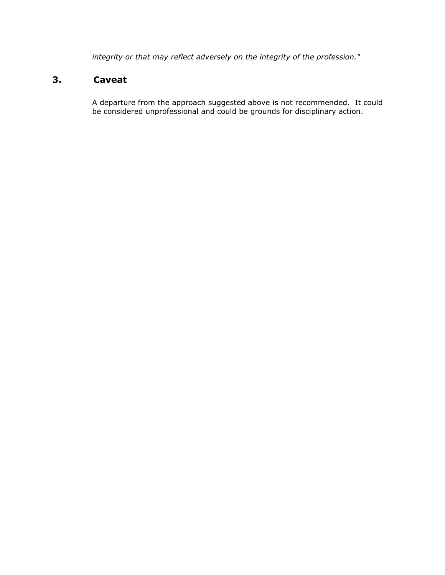*integrity or that may reflect adversely on the integrity of the profession."*

# **3. Caveat**

A departure from the approach suggested above is not recommended. It could be considered unprofessional and could be grounds for disciplinary action.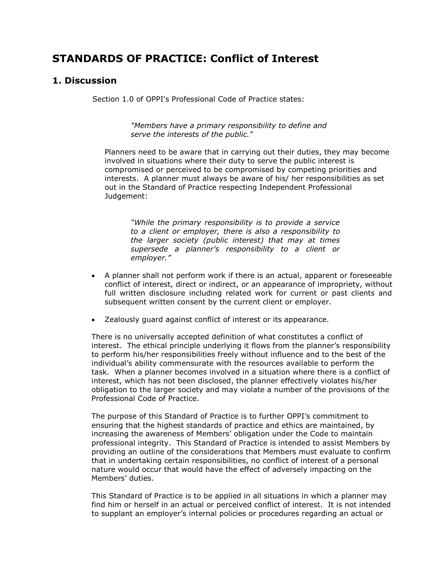# **STANDARDS OF PRACTICE: Conflict of Interest**

### **1. Discussion**

Section 1.0 of OPPI's Professional Code of Practice states:

*"Members have a primary responsibility to define and serve the interests of the public."*

Planners need to be aware that in carrying out their duties, they may become involved in situations where their duty to serve the public interest is compromised or perceived to be compromised by competing priorities and interests. A planner must always be aware of his/ her responsibilities as set out in the Standard of Practice respecting Independent Professional Judgement:

*"While the primary responsibility is to provide a service to a client or employer, there is also a responsibility to the larger society (public interest) that may at times supersede a planner's responsibility to a client or employer."* 

- A planner shall not perform work if there is an actual, apparent or foreseeable conflict of interest, direct or indirect, or an appearance of impropriety, without full written disclosure including related work for current or past clients and subsequent written consent by the current client or employer.
- Zealously guard against conflict of interest or its appearance.

There is no universally accepted definition of what constitutes a conflict of interest. The ethical principle underlying it flows from the planner's responsibility to perform his/her responsibilities freely without influence and to the best of the individual's ability commensurate with the resources available to perform the task. When a planner becomes involved in a situation where there is a conflict of interest, which has not been disclosed, the planner effectively violates his/her obligation to the larger society and may violate a number of the provisions of the Professional Code of Practice.

The purpose of this Standard of Practice is to further OPPI's commitment to ensuring that the highest standards of practice and ethics are maintained, by increasing the awareness of Members' obligation under the Code to maintain professional integrity. This Standard of Practice is intended to assist Members by providing an outline of the considerations that Members must evaluate to confirm that in undertaking certain responsibilities, no conflict of interest of a personal nature would occur that would have the effect of adversely impacting on the Members' duties.

This Standard of Practice is to be applied in all situations in which a planner may find him or herself in an actual or perceived conflict of interest. It is not intended to supplant an employer's internal policies or procedures regarding an actual or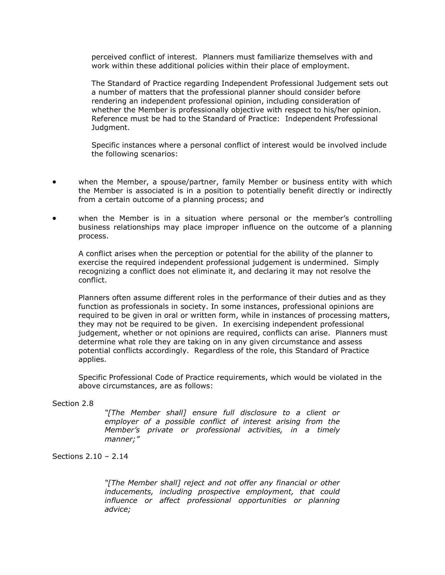perceived conflict of interest. Planners must familiarize themselves with and work within these additional policies within their place of employment.

The Standard of Practice regarding Independent Professional Judgement sets out a number of matters that the professional planner should consider before rendering an independent professional opinion, including consideration of whether the Member is professionally objective with respect to his/her opinion. Reference must be had to the Standard of Practice: Independent Professional Judgment.

Specific instances where a personal conflict of interest would be involved include the following scenarios:

- when the Member, a spouse/partner, family Member or business entity with which the Member is associated is in a position to potentially benefit directly or indirectly from a certain outcome of a planning process; and
- when the Member is in a situation where personal or the member's controlling business relationships may place improper influence on the outcome of a planning process.

A conflict arises when the perception or potential for the ability of the planner to exercise the required independent professional judgement is undermined. Simply recognizing a conflict does not eliminate it, and declaring it may not resolve the conflict.

Planners often assume different roles in the performance of their duties and as they function as professionals in society. In some instances, professional opinions are required to be given in oral or written form, while in instances of processing matters, they may not be required to be given. In exercising independent professional judgement, whether or not opinions are required, conflicts can arise. Planners must determine what role they are taking on in any given circumstance and assess potential conflicts accordingly. Regardless of the role, this Standard of Practice applies.

Specific Professional Code of Practice requirements, which would be violated in the above circumstances, are as follows:

#### Section 2.8

*"[The Member shall] ensure full disclosure to a client or employer of a possible conflict of interest arising from the Member's private or professional activities, in a timely manner;"*

#### Sections 2.10 – 2.14

*"[The Member shall] reject and not offer any financial or other inducements, including prospective employment, that could influence or affect professional opportunities or planning advice;*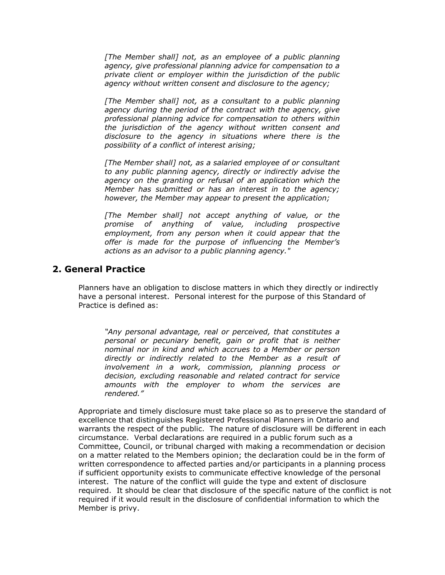*[The Member shall] not, as an employee of a public planning agency, give professional planning advice for compensation to a private client or employer within the jurisdiction of the public agency without written consent and disclosure to the agency;*

*[The Member shall] not, as a consultant to a public planning agency during the period of the contract with the agency, give professional planning advice for compensation to others within the jurisdiction of the agency without written consent and disclosure to the agency in situations where there is the possibility of a conflict of interest arising;*

*[The Member shall] not, as a salaried employee of or consultant to any public planning agency, directly or indirectly advise the agency on the granting or refusal of an application which the Member has submitted or has an interest in to the agency; however, the Member may appear to present the application;*

*[The Member shall] not accept anything of value, or the promise of anything of value, including prospective employment, from any person when it could appear that the offer is made for the purpose of influencing the Member's actions as an advisor to a public planning agency."*

### **2. General Practice**

Planners have an obligation to disclose matters in which they directly or indirectly have a personal interest. Personal interest for the purpose of this Standard of Practice is defined as:

*"Any personal advantage, real or perceived, that constitutes a personal or pecuniary benefit, gain or profit that is neither nominal nor in kind and which accrues to a Member or person directly or indirectly related to the Member as a result of involvement in a work, commission, planning process or decision, excluding reasonable and related contract for service amounts with the employer to whom the services are rendered."*

Appropriate and timely disclosure must take place so as to preserve the standard of excellence that distinguishes Registered Professional Planners in Ontario and warrants the respect of the public. The nature of disclosure will be different in each circumstance. Verbal declarations are required in a public forum such as a Committee, Council, or tribunal charged with making a recommendation or decision on a matter related to the Members opinion; the declaration could be in the form of written correspondence to affected parties and/or participants in a planning process if sufficient opportunity exists to communicate effective knowledge of the personal interest. The nature of the conflict will guide the type and extent of disclosure required. It should be clear that disclosure of the specific nature of the conflict is not required if it would result in the disclosure of confidential information to which the Member is privy.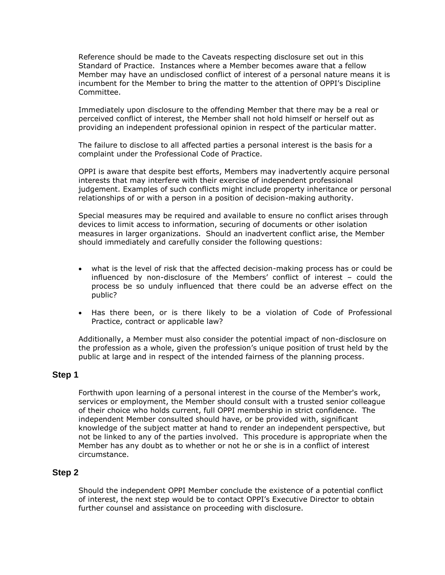Reference should be made to the Caveats respecting disclosure set out in this Standard of Practice. Instances where a Member becomes aware that a fellow Member may have an undisclosed conflict of interest of a personal nature means it is incumbent for the Member to bring the matter to the attention of OPPI's Discipline Committee.

Immediately upon disclosure to the offending Member that there may be a real or perceived conflict of interest, the Member shall not hold himself or herself out as providing an independent professional opinion in respect of the particular matter.

The failure to disclose to all affected parties a personal interest is the basis for a complaint under the Professional Code of Practice.

OPPI is aware that despite best efforts, Members may inadvertently acquire personal interests that may interfere with their exercise of independent professional judgement. Examples of such conflicts might include property inheritance or personal relationships of or with a person in a position of decision-making authority.

Special measures may be required and available to ensure no conflict arises through devices to limit access to information, securing of documents or other isolation measures in larger organizations. Should an inadvertent conflict arise, the Member should immediately and carefully consider the following questions:

- what is the level of risk that the affected decision-making process has or could be influenced by non-disclosure of the Members' conflict of interest – could the process be so unduly influenced that there could be an adverse effect on the public?
- Has there been, or is there likely to be a violation of Code of Professional Practice, contract or applicable law?

Additionally, a Member must also consider the potential impact of non-disclosure on the profession as a whole, given the profession's unique position of trust held by the public at large and in respect of the intended fairness of the planning process.

#### **Step 1**

Forthwith upon learning of a personal interest in the course of the Member's work, services or employment, the Member should consult with a trusted senior colleague of their choice who holds current, full OPPI membership in strict confidence. The independent Member consulted should have, or be provided with, significant knowledge of the subject matter at hand to render an independent perspective, but not be linked to any of the parties involved. This procedure is appropriate when the Member has any doubt as to whether or not he or she is in a conflict of interest circumstance.

#### **Step 2**

Should the independent OPPI Member conclude the existence of a potential conflict of interest, the next step would be to contact OPPI's Executive Director to obtain further counsel and assistance on proceeding with disclosure.